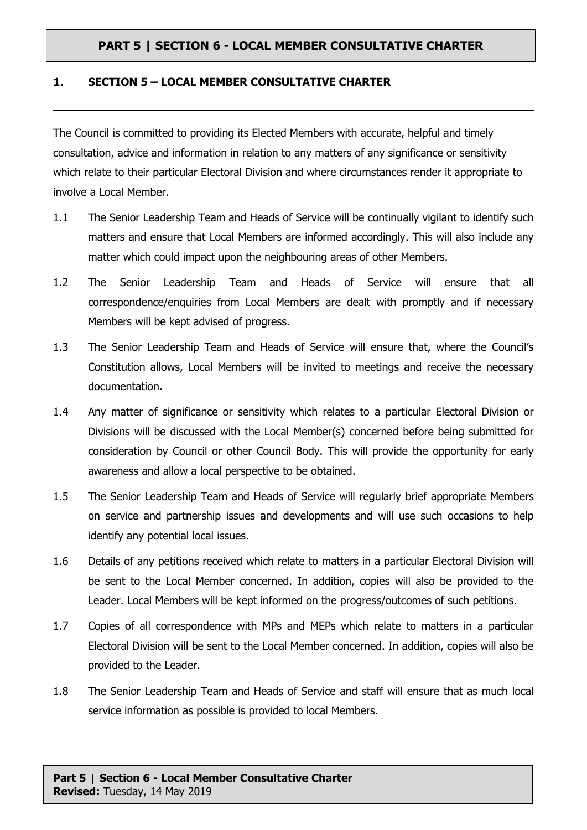## **PART 5 | SECTION 6 - LOCAL MEMBER CONSULTATIVE CHARTER**

## **1. SECTION 5 – LOCAL MEMBER CONSULTATIVE CHARTER**

The Council is committed to providing its Elected Members with accurate, helpful and timely consultation, advice and information in relation to any matters of any significance or sensitivity which relate to their particular Electoral Division and where circumstances render it appropriate to involve a Local Member.

- 1.1 The Senior Leadership Team and Heads of Service will be continually vigilant to identify such matters and ensure that Local Members are informed accordingly. This will also include any matter which could impact upon the neighbouring areas of other Members.
- 1.2 The Senior Leadership Team and Heads of Service will ensure that all correspondence/enquiries from Local Members are dealt with promptly and if necessary Members will be kept advised of progress.
- 1.3 The Senior Leadership Team and Heads of Service will ensure that, where the Council's Constitution allows, Local Members will be invited to meetings and receive the necessary documentation.
- 1.4 Any matter of significance or sensitivity which relates to a particular Electoral Division or Divisions will be discussed with the Local Member(s) concerned before being submitted for consideration by Council or other Council Body. This will provide the opportunity for early awareness and allow a local perspective to be obtained.
- 1.5 The Senior Leadership Team and Heads of Service will regularly brief appropriate Members on service and partnership issues and developments and will use such occasions to help identify any potential local issues.
- 1.6 Details of any petitions received which relate to matters in a particular Electoral Division will be sent to the Local Member concerned. In addition, copies will also be provided to the Leader. Local Members will be kept informed on the progress/outcomes of such petitions.
- 1.7 Copies of all correspondence with MPs and MEPs which relate to matters in a particular Electoral Division will be sent to the Local Member concerned. In addition, copies will also be provided to the Leader.
- 1.8 The Senior Leadership Team and Heads of Service and staff will ensure that as much local service information as possible is provided to local Members.